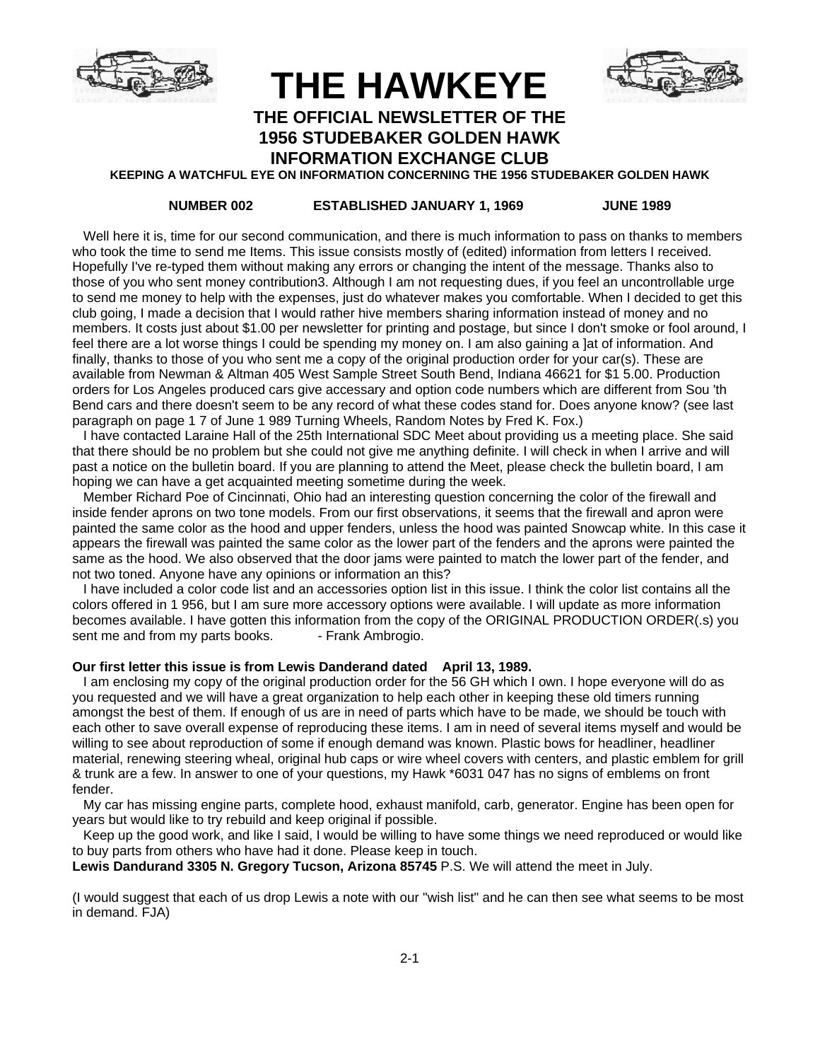

**THE HAWKEYE**



## **THE OFFICIAL NEWSLETTER OF THE 1956 STUDEBAKER GOLDEN HAWK**

**INFORMATION EXCHANGE CLUB KEEPING A WATCHFUL EYE ON INFORMATION CONCERNING THE 1956 STUDEBAKER GOLDEN HAWK**

### **NUMBER 002 ESTABLISHED JANUARY 1, 1969 JUNE 1989**

 Well here it is, time for our second communication, and there is much information to pass on thanks to members who took the time to send me Items. This issue consists mostly of (edited) information from letters I received. Hopefully I've re-typed them without making any errors or changing the intent of the message. Thanks also to those of you who sent money contribution3. Although I am not requesting dues, if you feel an uncontrollable urge to send me money to help with the expenses, just do whatever makes you comfortable. When I decided to get this club going, I made a decision that I would rather hive members sharing information instead of money and no members. It costs just about \$1.00 per newsletter for printing and postage, but since I don't smoke or fool around, I feel there are a lot worse things I could be spending my money on. I am also gaining a ]at of information. And finally, thanks to those of you who sent me a copy of the original production order for your car(s). These are available from Newman & Altman 405 West Sample Street South Bend, Indiana 46621 for \$1 5.00. Production orders for Los Angeles produced cars give accessary and option code numbers which are different from Sou 'th Bend cars and there doesn't seem to be any record of what these codes stand for. Does anyone know? (see last paragraph on page 1 7 of June 1 989 Turning Wheels, Random Notes by Fred K. Fox.)

 I have contacted Laraine Hall of the 25th International SDC Meet about providing us a meeting place. She said that there should be no problem but she could not give me anything definite. I will check in when I arrive and will past a notice on the bulletin board. If you are planning to attend the Meet, please check the bulletin board, I am hoping we can have a get acquainted meeting sometime during the week.

 Member Richard Poe of Cincinnati, Ohio had an interesting question concerning the color of the firewall and inside fender aprons on two tone models. From our first observations, it seems that the firewall and apron were painted the same color as the hood and upper fenders, unless the hood was painted Snowcap white. In this case it appears the firewall was painted the same color as the lower part of the fenders and the aprons were painted the same as the hood. We also observed that the door jams were painted to match the lower part of the fender, and not two toned. Anyone have any opinions or information an this?

 I have included a color code list and an accessories option list in this issue. I think the color list contains all the colors offered in 1 956, but I am sure more accessory options were available. I will update as more information becomes available. I have gotten this information from the copy of the ORIGINAL PRODUCTION ORDER(.s) you sent me and from my parts books. - Frank Ambrogio.

### **Our first letter this issue is from Lewis Danderand dated April 13, 1989.**

 I am enclosing my copy of the original production order for the 56 GH which I own. I hope everyone will do as you requested and we will have a great organization to help each other in keeping these old timers running amongst the best of them. If enough of us are in need of parts which have to be made, we should be touch with each other to save overall expense of reproducing these items. I am in need of several items myself and would be willing to see about reproduction of some if enough demand was known. Plastic bows for headliner, headliner material, renewing steering wheal, original hub caps or wire wheel covers with centers, and plastic emblem for grill & trunk are a few. In answer to one of your questions, my Hawk \*6031 047 has no signs of emblems on front fender.

 My car has missing engine parts, complete hood, exhaust manifold, carb, generator. Engine has been open for years but would like to try rebuild and keep original if possible.

 Keep up the good work, and like I said, I would be willing to have some things we need reproduced or would like to buy parts from others who have had it done. Please keep in touch.

**Lewis Dandurand 3305 N. Gregory Tucson, Arizona 85745** P.S. We will attend the meet in July.

(I would suggest that each of us drop Lewis a note with our "wish list" and he can then see what seems to be most in demand. FJA)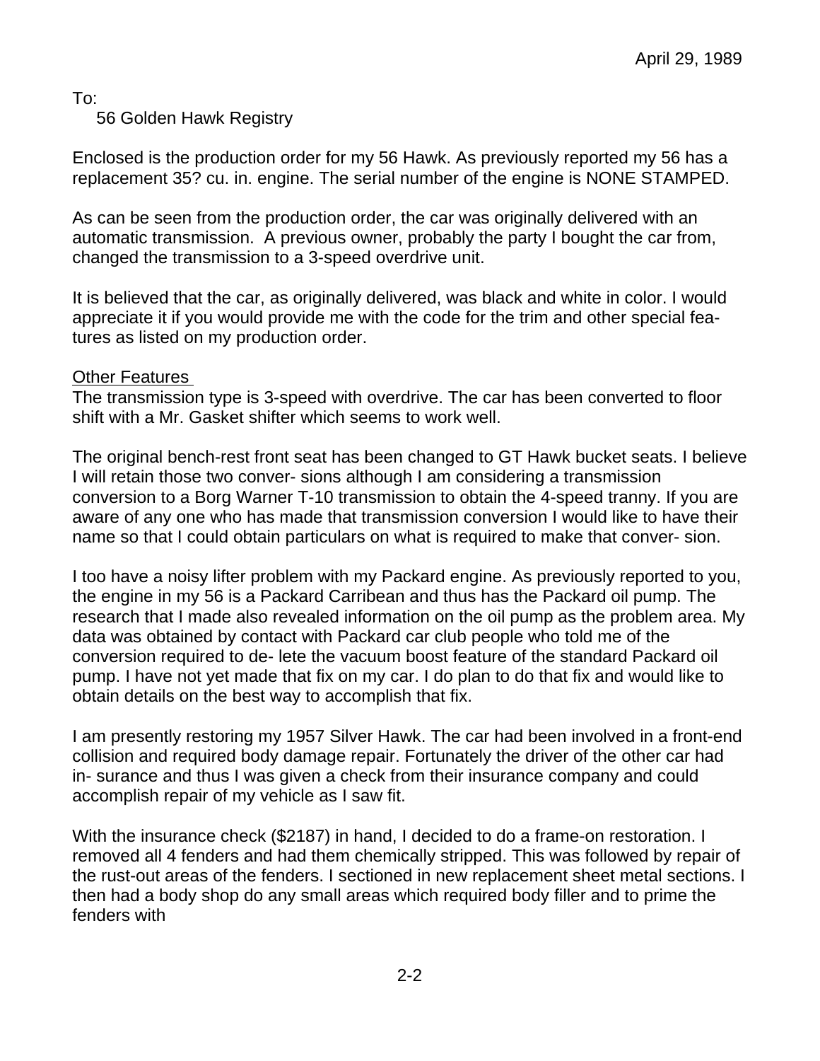To:

56 Golden Hawk Registry

Enclosed is the production order for my 56 Hawk. As previously reported my 56 has a replacement 35? cu. in. engine. The serial number of the engine is NONE STAMPED.

As can be seen from the production order, the car was originally delivered with an automatic transmission. A previous owner, probably the party I bought the car from, changed the transmission to a 3-speed overdrive unit.

It is believed that the car, as originally delivered, was black and white in color. I would appreciate it if you would provide me with the code for the trim and other special features as listed on my production order.

# Other Features

The transmission type is 3-speed with overdrive. The car has been converted to floor shift with a Mr. Gasket shifter which seems to work well.

The original bench-rest front seat has been changed to GT Hawk bucket seats. I believe I will retain those two conver- sions although I am considering a transmission conversion to a Borg Warner T-10 transmission to obtain the 4-speed tranny. If you are aware of any one who has made that transmission conversion I would like to have their name so that I could obtain particulars on what is required to make that conver- sion.

I too have a noisy lifter problem with my Packard engine. As previously reported to you, the engine in my 56 is a Packard Carribean and thus has the Packard oil pump. The research that I made also revealed information on the oil pump as the problem area. My data was obtained by contact with Packard car club people who told me of the conversion required to de- lete the vacuum boost feature of the standard Packard oil pump. I have not yet made that fix on my car. I do plan to do that fix and would like to obtain details on the best way to accomplish that fix.

I am presently restoring my 1957 Silver Hawk. The car had been involved in a front-end collision and required body damage repair. Fortunately the driver of the other car had in- surance and thus I was given a check from their insurance company and could accomplish repair of my vehicle as I saw fit.

With the insurance check (\$2187) in hand, I decided to do a frame-on restoration. I removed all 4 fenders and had them chemically stripped. This was followed by repair of the rust-out areas of the fenders. I sectioned in new replacement sheet metal sections. I then had a body shop do any small areas which required body filler and to prime the fenders with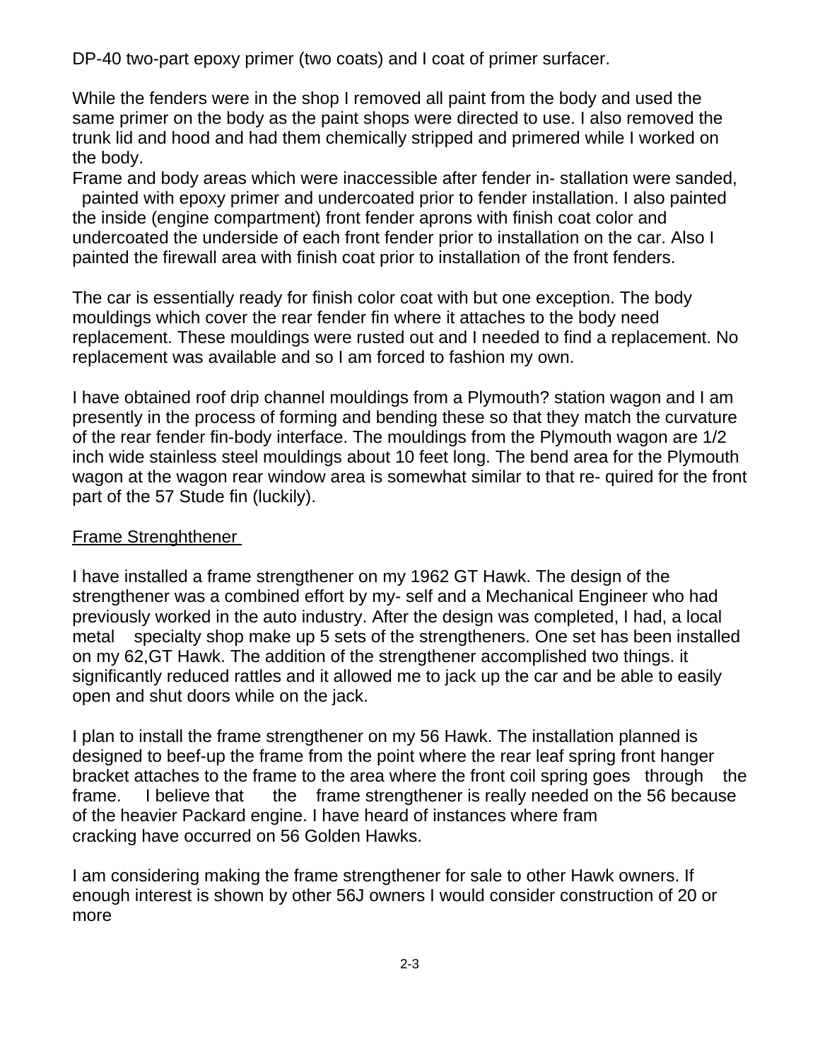DP-40 two-part epoxy primer (two coats) and I coat of primer surfacer.

While the fenders were in the shop I removed all paint from the body and used the same primer on the body as the paint shops were directed to use. I also removed the trunk lid and hood and had them chemically stripped and primered while I worked on the body.

Frame and body areas which were inaccessible after fender in- stallation were sanded, painted with epoxy primer and undercoated prior to fender installation. I also painted the inside (engine compartment) front fender aprons with finish coat color and undercoated the underside of each front fender prior to installation on the car. Also I painted the firewall area with finish coat prior to installation of the front fenders.

The car is essentially ready for finish color coat with but one exception. The body mouldings which cover the rear fender fin where it attaches to the body need replacement. These mouldings were rusted out and I needed to find a replacement. No replacement was available and so I am forced to fashion my own.

I have obtained roof drip channel mouldings from a Plymouth? station wagon and I am presently in the process of forming and bending these so that they match the curvature of the rear fender fin-body interface. The mouldings from the Plymouth wagon are 1/2 inch wide stainless steel mouldings about 10 feet long. The bend area for the Plymouth wagon at the wagon rear window area is somewhat similar to that re- quired for the front part of the 57 Stude fin (luckily).

# Frame Strenghthener

I have installed a frame strengthener on my 1962 GT Hawk. The design of the strengthener was a combined effort by my- self and a Mechanical Engineer who had previously worked in the auto industry. After the design was completed, I had, a local metal specialty shop make up 5 sets of the strengtheners. One set has been installed on my 62,GT Hawk. The addition of the strengthener accomplished two things. it significantly reduced rattles and it allowed me to jack up the car and be able to easily open and shut doors while on the jack.

I plan to install the frame strengthener on my 56 Hawk. The installation planned is designed to beef-up the frame from the point where the rear leaf spring front hanger bracket attaches to the frame to the area where the front coil spring goes through the frame. I believe that the frame strengthener is really needed on the 56 because of the heavier Packard engine. I have heard of instances where fram cracking have occurred on 56 Golden Hawks.

I am considering making the frame strengthener for sale to other Hawk owners. If enough interest is shown by other 56J owners I would consider construction of 20 or more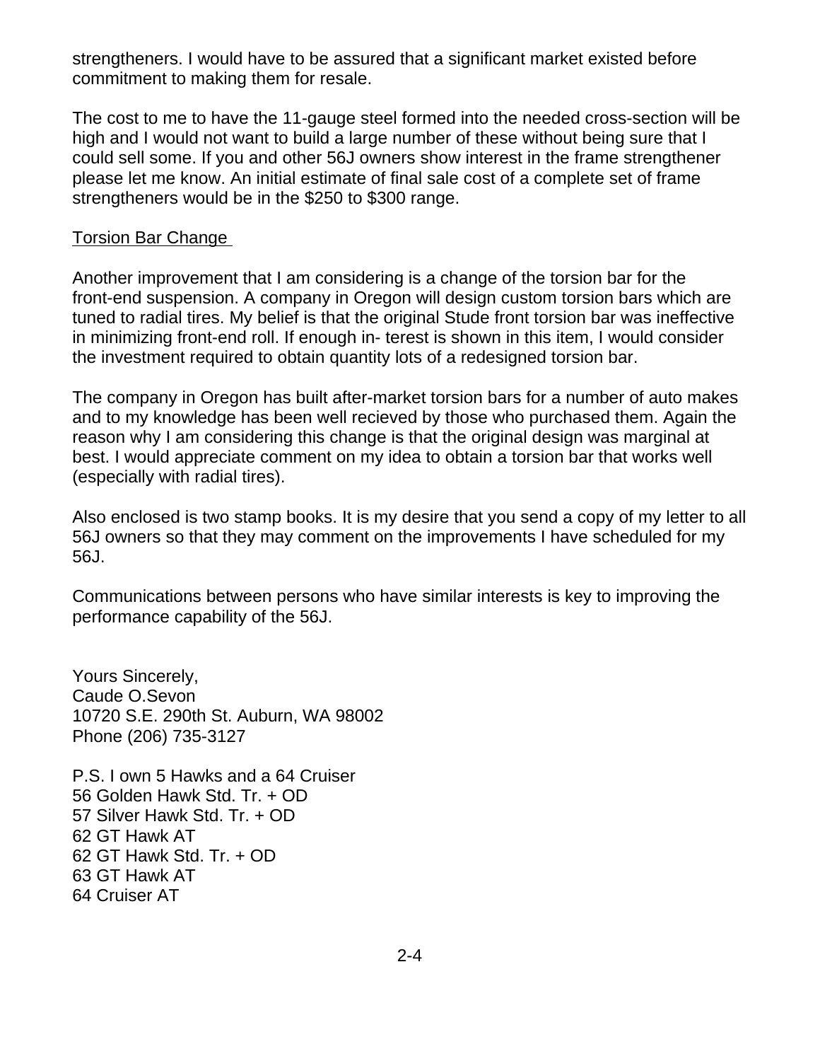strengtheners. I would have to be assured that a significant market existed before commitment to making them for resale.

The cost to me to have the 11-gauge steel formed into the needed cross-section will be high and I would not want to build a large number of these without being sure that I could sell some. If you and other 56J owners show interest in the frame strengthener please let me know. An initial estimate of final sale cost of a complete set of frame strengtheners would be in the \$250 to \$300 range.

# Torsion Bar Change

Another improvement that I am considering is a change of the torsion bar for the front-end suspension. A company in Oregon will design custom torsion bars which are tuned to radial tires. My belief is that the original Stude front torsion bar was ineffective in minimizing front-end roll. If enough in- terest is shown in this item, I would consider the investment required to obtain quantity lots of a redesigned torsion bar.

The company in Oregon has built after-market torsion bars for a number of auto makes and to my knowledge has been well recieved by those who purchased them. Again the reason why I am considering this change is that the original design was marginal at best. I would appreciate comment on my idea to obtain a torsion bar that works well (especially with radial tires).

Also enclosed is two stamp books. It is my desire that you send a copy of my letter to all 56J owners so that they may comment on the improvements I have scheduled for my 56J.

Communications between persons who have similar interests is key to improving the performance capability of the 56J.

Yours Sincerely, Caude O.Sevon 10720 S.E. 290th St. Auburn, WA 98002 Phone (206) 735-3127

P.S. I own 5 Hawks and a 64 Cruiser 56 Golden Hawk Std. Tr. + OD 57 Silver Hawk Std. Tr. + OD 62 GT Hawk AT 62 GT Hawk Std. Tr. + OD 63 GT Hawk AT 64 Cruiser AT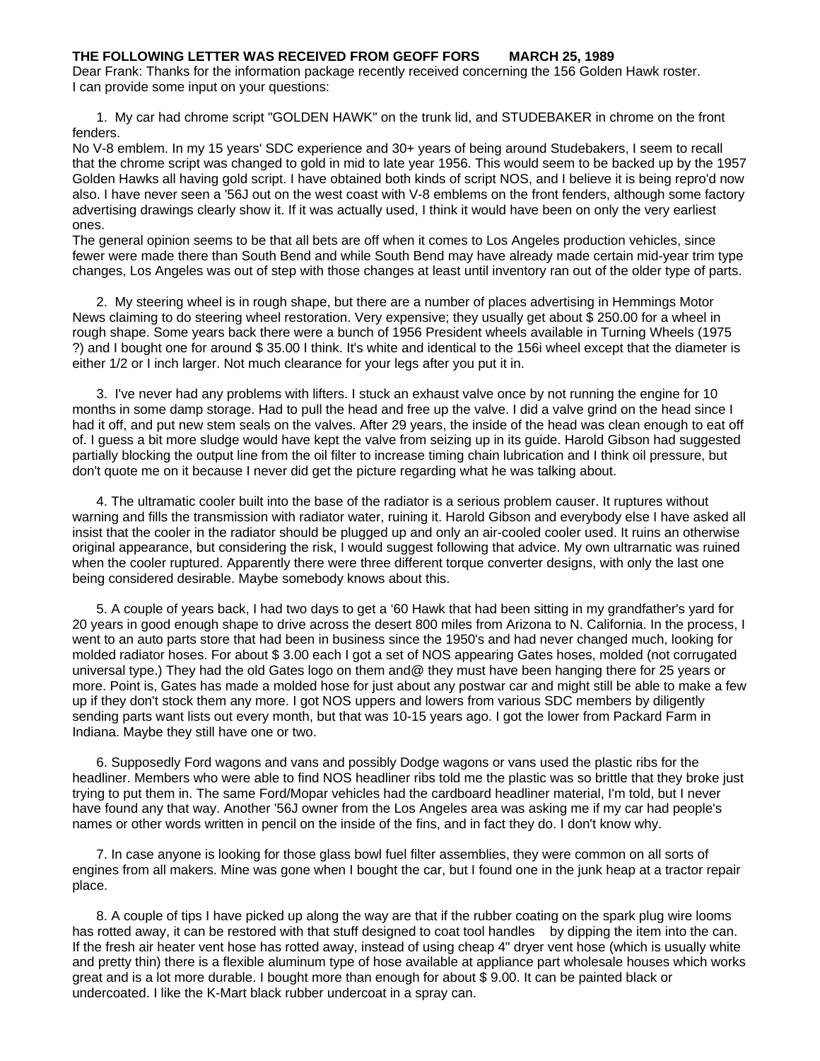### **THE FOLLOWING LETTER WAS RECEIVED FROM GEOFF FORS MARCH 25, 1989**

Dear Frank: Thanks for the information package recently received concerning the 156 Golden Hawk roster. I can provide some input on your questions:

1. My car had chrome script "GOLDEN HAWK" on the trunk lid, and STUDEBAKER in chrome on the front fenders.

No V-8 emblem. In my 15 years' SDC experience and 30+ years of being around Studebakers, I seem to recall that the chrome script was changed to gold in mid to late year 1956. This would seem to be backed up by the 1957 Golden Hawks all having gold script. I have obtained both kinds of script NOS, and I believe it is being repro'd now also. I have never seen a '56J out on the west coast with V-8 emblems on the front fenders, although some factory advertising drawings clearly show it. If it was actually used, I think it would have been on only the very earliest ones.

The general opinion seems to be that all bets are off when it comes to Los Angeles production vehicles, since fewer were made there than South Bend and while South Bend may have already made certain mid-year trim type changes, Los Angeles was out of step with those changes at least until inventory ran out of the older type of parts.

2. My steering wheel is in rough shape, but there are a number of places advertising in Hemmings Motor News claiming to do steering wheel restoration. Very expensive; they usually get about \$ 250.00 for a wheel in rough shape. Some years back there were a bunch of 1956 President wheels available in Turning Wheels (1975 ?) and I bought one for around \$ 35.00 I think. It's white and identical to the 156i wheel except that the diameter is either 1/2 or I inch larger. Not much clearance for your legs after you put it in.

3. I've never had any problems with lifters. I stuck an exhaust valve once by not running the engine for 10 months in some damp storage. Had to pull the head and free up the valve. I did a valve grind on the head since I had it off, and put new stem seals on the valves. After 29 years, the inside of the head was clean enough to eat off of. I guess a bit more sludge would have kept the valve from seizing up in its guide. Harold Gibson had suggested partially blocking the output line from the oil filter to increase timing chain lubrication and I think oil pressure, but don't quote me on it because I never did get the picture regarding what he was talking about.

4. The ultramatic cooler built into the base of the radiator is a serious problem causer. It ruptures without warning and fills the transmission with radiator water, ruining it. Harold Gibson and everybody else I have asked all insist that the cooler in the radiator should be plugged up and only an air-cooled cooler used. It ruins an otherwise original appearance, but considering the risk, I would suggest following that advice. My own ultrarnatic was ruined when the cooler ruptured. Apparently there were three different torque converter designs, with only the last one being considered desirable. Maybe somebody knows about this.

5. A couple of years back, I had two days to get a '60 Hawk that had been sitting in my grandfather's yard for 20 years in good enough shape to drive across the desert 800 miles from Arizona to N. California. In the process, I went to an auto parts store that had been in business since the 1950's and had never changed much, looking for molded radiator hoses. For about \$ 3.00 each I got a set of NOS appearing Gates hoses, molded (not corrugated universal type.) They had the old Gates logo on them and@ they must have been hanging there for 25 years or more. Point is, Gates has made a molded hose for just about any postwar car and might still be able to make a few up if they don't stock them any more. I got NOS uppers and lowers from various SDC members by diligently sending parts want lists out every month, but that was 10-15 years ago. I got the lower from Packard Farm in Indiana. Maybe they still have one or two.

6. Supposedly Ford wagons and vans and possibly Dodge wagons or vans used the plastic ribs for the headliner. Members who were able to find NOS headliner ribs told me the plastic was so brittle that they broke just trying to put them in. The same Ford/Mopar vehicles had the cardboard headliner material, I'm told, but I never have found any that way. Another '56J owner from the Los Angeles area was asking me if my car had people's names or other words written in pencil on the inside of the fins, and in fact they do. I don't know why.

7. In case anyone is looking for those glass bowl fuel filter assemblies, they were common on all sorts of engines from all makers. Mine was gone when I bought the car, but I found one in the junk heap at a tractor repair place.

8. A couple of tips I have picked up along the way are that if the rubber coating on the spark plug wire looms has rotted away, it can be restored with that stuff designed to coat tool handles by dipping the item into the can. If the fresh air heater vent hose has rotted away, instead of using cheap 4" dryer vent hose (which is usually white and pretty thin) there is a flexible aluminum type of hose available at appliance part wholesale houses which works great and is a lot more durable. I bought more than enough for about \$ 9.00. It can be painted black or undercoated. I like the K-Mart black rubber undercoat in a spray can.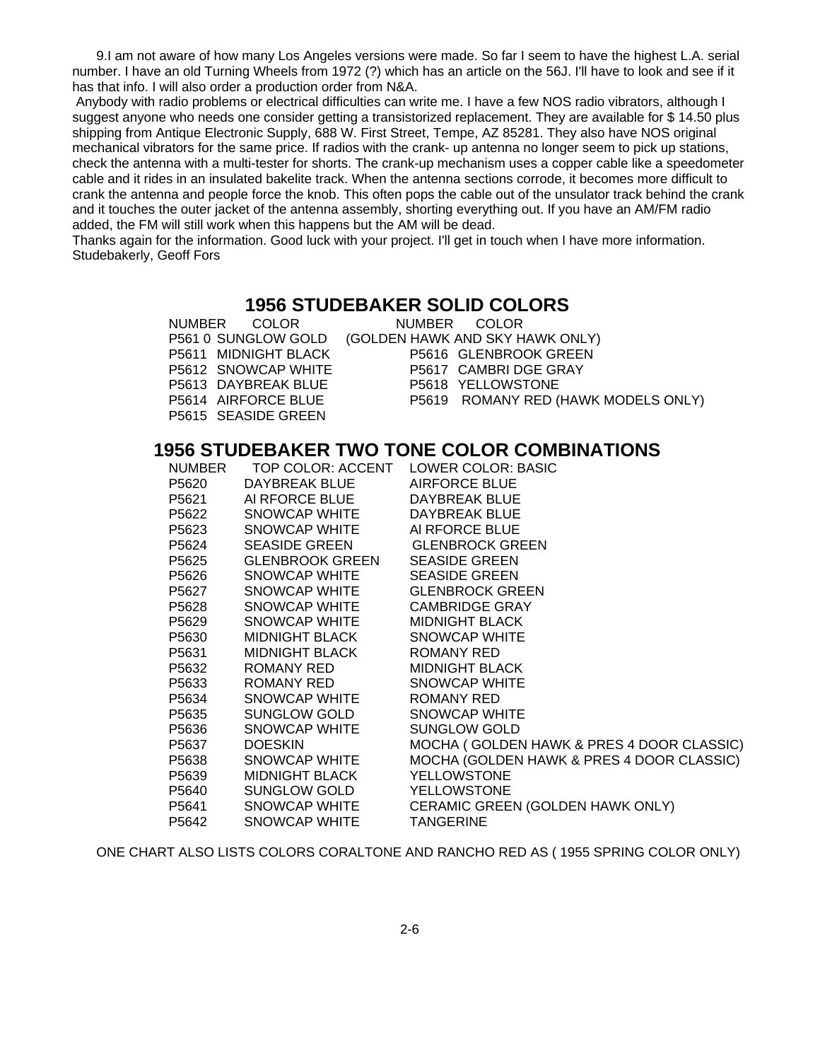9.I am not aware of how many Los Angeles versions were made. So far I seem to have the highest L.A. serial number. I have an old Turning Wheels from 1972 (?) which has an article on the 56J. I'll have to look and see if it has that info. I will also order a production order from N&A.

 Anybody with radio problems or electrical difficulties can write me. I have a few NOS radio vibrators, although I suggest anyone who needs one consider getting a transistorized replacement. They are available for \$ 14.50 plus shipping from Antique Electronic Supply, 688 W. First Street, Tempe, AZ 85281. They also have NOS original mechanical vibrators for the same price. If radios with the crank- up antenna no longer seem to pick up stations, check the antenna with a multi-tester for shorts. The crank-up mechanism uses a copper cable like a speedometer cable and it rides in an insulated bakelite track. When the antenna sections corrode, it becomes more difficult to crank the antenna and people force the knob. This often pops the cable out of the unsulator track behind the crank and it touches the outer jacket of the antenna assembly, shorting everything out. If you have an AM/FM radio added, the FM will still work when this happens but the AM will be dead.

Thanks again for the information. Good luck with your project. I'll get in touch when I have more information. Studebakerly, Geoff Fors

## **1956 STUDEBAKER SOLID COLORS**

| NUMBER COLOR         | NUMBER COLOR                        |
|----------------------|-------------------------------------|
| P561 0 SUNGLOW GOLD  | (GOLDEN HAWK AND SKY HAWK ONLY)     |
| P5611 MIDNIGHT BLACK | P5616 GLENBROOK GREEN               |
| P5612 SNOWCAP WHITE  | P5617 CAMBRI DGE GRAY               |
| P5613 DAYBREAK BLUE  | P5618 YELLOWSTONE                   |
| P5614 AIRFORCE BLUE  | P5619 ROMANY RED (HAWK MODELS ONLY) |
| P5615 SEASIDE GREEN  |                                     |

# **1956 STUDEBAKER TWO TONE COLOR COMBINATIONS**

| <b>NUMBER</b> |                                     | TOP COLOR: ACCENT LOWER COLOR: BASIC      |
|---------------|-------------------------------------|-------------------------------------------|
| P5620         | DAYBREAK BLUE                       | <b>AIRFORCE BLUE</b>                      |
| P5621         | AI RFORCE BLUE                      | DAYBREAK BLUE                             |
| P5622         | SNOWCAP WHITE                       | DAYBREAK BLUE                             |
|               | P5623 SNOWCAP WHITE                 | AI RFORCE BLUE                            |
|               | P5624 SEASIDE GREEN GLENBROCK GREEN |                                           |
|               | P5625 GLENBROOK GREEN               | <b>SEASIDE GREEN</b>                      |
| P5626         | SNOWCAP WHITE                       | <b>SEASIDE GREEN</b>                      |
| P5627         | SNOWCAP WHITE                       | <b>GLENBROCK GREEN</b>                    |
| P5628         | SNOWCAP WHITE                       | <b>CAMBRIDGE GRAY</b>                     |
| P5629         | SNOWCAP WHITE                       | <b>MIDNIGHT BLACK</b>                     |
| P5630         | MIDNIGHT BLACK                      | SNOWCAP WHITE                             |
| P5631         | MIDNIGHT BLACK                      | ROMANY RED                                |
| P5632         | ROMANY RED                          | <b>MIDNIGHT BLACK</b>                     |
|               | P5633 ROMANY RED                    | SNOWCAP WHITE                             |
| P5634         | SNOWCAP WHITE                       | ROMANY RED                                |
|               | P5635 SUNGLOW GOLD                  | SNOWCAP WHITE                             |
| P5636         | SNOWCAP WHITE                       | <b>SUNGLOW GOLD</b>                       |
| P5637         | <b>DOESKIN</b>                      | MOCHA (GOLDEN HAWK & PRES 4 DOOR CLASSIC) |
| P5638         | SNOWCAP WHITE                       | MOCHA (GOLDEN HAWK & PRES 4 DOOR CLASSIC) |
| P5639         | MIDNIGHT BLACK                      | <b>YELLOWSTONE</b>                        |
|               | P5640 SUNGLOW GOLD                  | <b>YELLOWSTONE</b>                        |
|               | P5641 SNOWCAP WHITE                 | CERAMIC GREEN (GOLDEN HAWK ONLY)          |
| P5642         | SNOWCAP WHITE                       | <b>TANGERINE</b>                          |

ONE CHART ALSO LISTS COLORS CORALTONE AND RANCHO RED AS ( 1955 SPRING COLOR ONLY)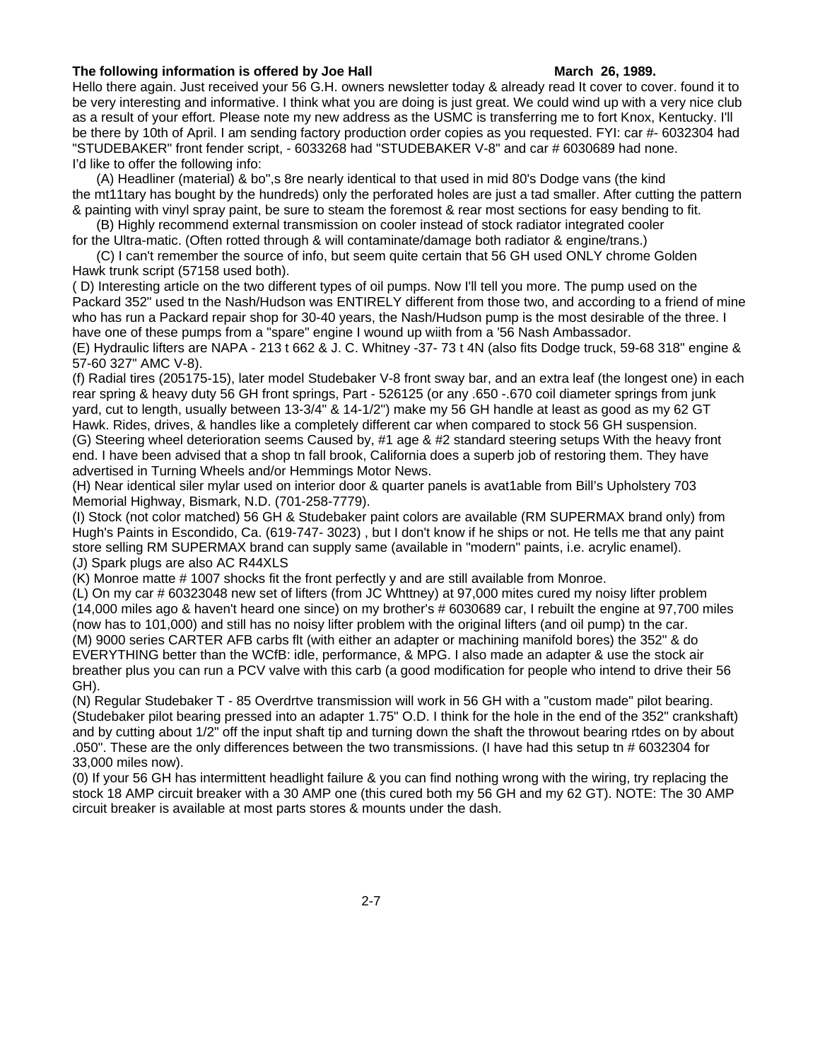### **The following information is offered by Joe Hall <b>March 26, 1989.** March 26, 1989.

Hello there again. Just received your 56 G.H. owners newsletter today & already read It cover to cover. found it to be very interesting and informative. I think what you are doing is just great. We could wind up with a very nice club as a result of your effort. Please note my new address as the USMC is transferring me to fort Knox, Kentucky. I'll be there by 10th of April. I am sending factory production order copies as you requested. FYI: car #- 6032304 had "STUDEBAKER" front fender script, - 6033268 had "STUDEBAKER V-8" and car # 6030689 had none. I'd like to offer the following info:

(A) Headliner (material) & bo",s 8re nearly identical to that used in mid 80's Dodge vans (the kind the mt11tary has bought by the hundreds) only the perforated holes are just a tad smaller. After cutting the pattern & painting with vinyl spray paint, be sure to steam the foremost & rear most sections for easy bending to fit.

(B) Highly recommend external transmission on cooler instead of stock radiator integrated cooler for the Ultra-matic. (Often rotted through & will contaminate/damage both radiator & engine/trans.)

(C) I can't remember the source of info, but seem quite certain that 56 GH used ONLY chrome Golden Hawk trunk script (57158 used both).

( D) Interesting article on the two different types of oil pumps. Now I'll tell you more. The pump used on the Packard 352" used tn the Nash/Hudson was ENTIRELY different from those two, and according to a friend of mine who has run a Packard repair shop for 30-40 years, the Nash/Hudson pump is the most desirable of the three. I have one of these pumps from a "spare" engine I wound up wiith from a '56 Nash Ambassador.

(E) Hydraulic lifters are NAPA - 213 t 662 & J. C. Whitney -37- 73 t 4N (also fits Dodge truck, 59-68 318" engine & 57-60 327" AMC V-8).

(f) Radial tires (205175-15), later model Studebaker V-8 front sway bar, and an extra leaf (the longest one) in each rear spring & heavy duty 56 GH front springs, Part - 526125 (or any .650 -.670 coil diameter springs from junk yard, cut to length, usually between 13-3/4" & 14-1/2") make my 56 GH handle at least as good as my 62 GT Hawk. Rides, drives, & handles like a completely different car when compared to stock 56 GH suspension. (G) Steering wheel deterioration seems Caused by, #1 age & #2 standard steering setups With the heavy front end. I have been advised that a shop tn fall brook, California does a superb job of restoring them. They have advertised in Turning Wheels and/or Hemmings Motor News.

(H) Near identical siler mylar used on interior door & quarter panels is avat1able from Bill's Upholstery 703 Memorial Highway, Bismark, N.D. (701-258-7779).

(I) Stock (not color matched) 56 GH & Studebaker paint colors are available (RM SUPERMAX brand only) from Hugh's Paints in Escondido, Ca. (619-747- 3023) , but I don't know if he ships or not. He tells me that any paint store selling RM SUPERMAX brand can supply same (available in "modern" paints, i.e. acrylic enamel). (J) Spark plugs are also AC R44XLS

 $(K)$  Monroe matte  $# 1007$  shocks fit the front perfectly y and are still available from Monroe.

(L) On my car # 60323048 new set of lifters (from JC Whttney) at 97,000 mites cured my noisy lifter problem (14,000 miles ago & haven't heard one since) on my brother's # 6030689 car, I rebuilt the engine at 97,700 miles (now has to 101,000) and still has no noisy lifter problem with the original lifters (and oil pump) tn the car. (M) 9000 series CARTER AFB carbs flt (with either an adapter or machining manifold bores) the 352" & do EVERYTHING better than the WCfB: idle, performance, & MPG. I also made an adapter & use the stock air breather plus you can run a PCV valve with this carb (a good modification for people who intend to drive their 56 GH).

(N) Regular Studebaker T - 85 Overdrtve transmission will work in 56 GH with a "custom made" pilot bearing. (Studebaker pilot bearing pressed into an adapter 1.75" O.D. I think for the hole in the end of the 352" crankshaft) and by cutting about 1/2" off the input shaft tip and turning down the shaft the throwout bearing rtdes on by about .050". These are the only differences between the two transmissions. (I have had this setup tn # 6032304 for 33,000 miles now).

(0) If your 56 GH has intermittent headlight failure & you can find nothing wrong with the wiring, try replacing the stock 18 AMP circuit breaker with a 30 AMP one (this cured both my 56 GH and my 62 GT). NOTE: The 30 AMP circuit breaker is available at most parts stores & mounts under the dash.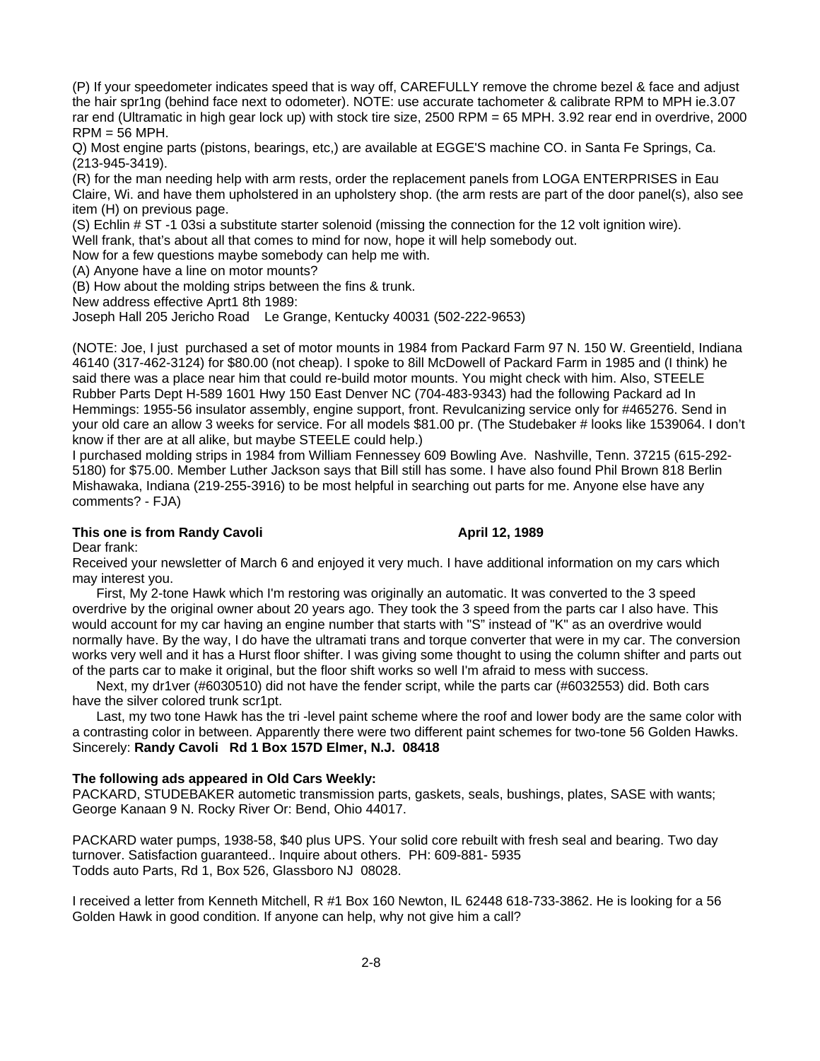(P) If your speedometer indicates speed that is way off, CAREFULLY remove the chrome bezel & face and adjust the hair spr1ng (behind face next to odometer). NOTE: use accurate tachometer & calibrate RPM to MPH ie.3.07 rar end (Ultramatic in high gear lock up) with stock tire size, 2500 RPM = 65 MPH. 3.92 rear end in overdrive, 2000 RPM = 56 MPH.

Q) Most engine parts (pistons, bearings, etc,) are available at EGGE'S machine CO. in Santa Fe Springs, Ca. (213-945-3419).

(R) for the man needing help with arm rests, order the replacement panels from LOGA ENTERPRISES in Eau Claire, Wi. and have them upholstered in an upholstery shop. (the arm rests are part of the door panel(s), also see item (H) on previous page.

(S) Echlin # ST -1 03si a substitute starter solenoid (missing the connection for the 12 volt ignition wire).

Well frank, that's about all that comes to mind for now, hope it will help somebody out.

Now for a few questions maybe somebody can help me with.

(A) Anyone have a line on motor mounts?

(B) How about the molding strips between the fins & trunk.

New address effective Aprt1 8th 1989:

Joseph Hall 205 Jericho Road Le Grange, Kentucky 40031 (502-222-9653)

(NOTE: Joe, I just purchased a set of motor mounts in 1984 from Packard Farm 97 N. 150 W. Greentield, Indiana 46140 (317-462-3124) for \$80.00 (not cheap). I spoke to 8ill McDowell of Packard Farm in 1985 and (I think) he said there was a place near him that could re-build motor mounts. You might check with him. Also, STEELE Rubber Parts Dept H-589 1601 Hwy 150 East Denver NC (704-483-9343) had the following Packard ad In Hemmings: 1955-56 insulator assembly, engine support, front. Revulcanizing service only for #465276. Send in your old care an allow 3 weeks for service. For all models \$81.00 pr. (The Studebaker # looks like 1539064. I don't know if ther are at all alike, but maybe STEELE could help.)

I purchased molding strips in 1984 from William Fennessey 609 Bowling Ave. Nashville, Tenn. 37215 (615-292- 5180) for \$75.00. Member Luther Jackson says that Bill still has some. I have also found Phil Brown 818 Berlin Mishawaka, Indiana (219-255-3916) to be most helpful in searching out parts for me. Anyone else have any comments? - FJA)

### This one is from Randy Cavoli **April 12, 1989**

Dear frank:

Received your newsletter of March 6 and enjoyed it very much. I have additional information on my cars which may interest you.

First, My 2-tone Hawk which I'm restoring was originally an automatic. It was converted to the 3 speed overdrive by the original owner about 20 years ago. They took the 3 speed from the parts car I also have. This would account for my car having an engine number that starts with "S" instead of "K" as an overdrive would normally have. By the way, I do have the ultramati trans and torque converter that were in my car. The conversion works very well and it has a Hurst floor shifter. I was giving some thought to using the column shifter and parts out of the parts car to make it original, but the floor shift works so well I'm afraid to mess with success.

Next, my dr1ver (#6030510) did not have the fender script, while the parts car (#6032553) did. Both cars have the silver colored trunk scr1pt.

Last, my two tone Hawk has the tri -level paint scheme where the roof and lower body are the same color with a contrasting color in between. Apparently there were two different paint schemes for two-tone 56 Golden Hawks. Sincerely: **Randy Cavoli Rd 1 Box 157D Elmer, N.J. 08418**

### **The following ads appeared in Old Cars Weekly:**

PACKARD, STUDEBAKER autometic transmission parts, gaskets, seals, bushings, plates, SASE with wants; George Kanaan 9 N. Rocky River Or: Bend, Ohio 44017.

PACKARD water pumps, 1938-58, \$40 plus UPS. Your solid core rebuilt with fresh seal and bearing. Two day turnover. Satisfaction guaranteed.. Inquire about others. PH: 609-881- 5935 Todds auto Parts, Rd 1, Box 526, Glassboro NJ 08028.

I received a letter from Kenneth Mitchell, R #1 Box 160 Newton, IL 62448 618-733-3862. He is looking for a 56 Golden Hawk in good condition. If anyone can help, why not give him a call?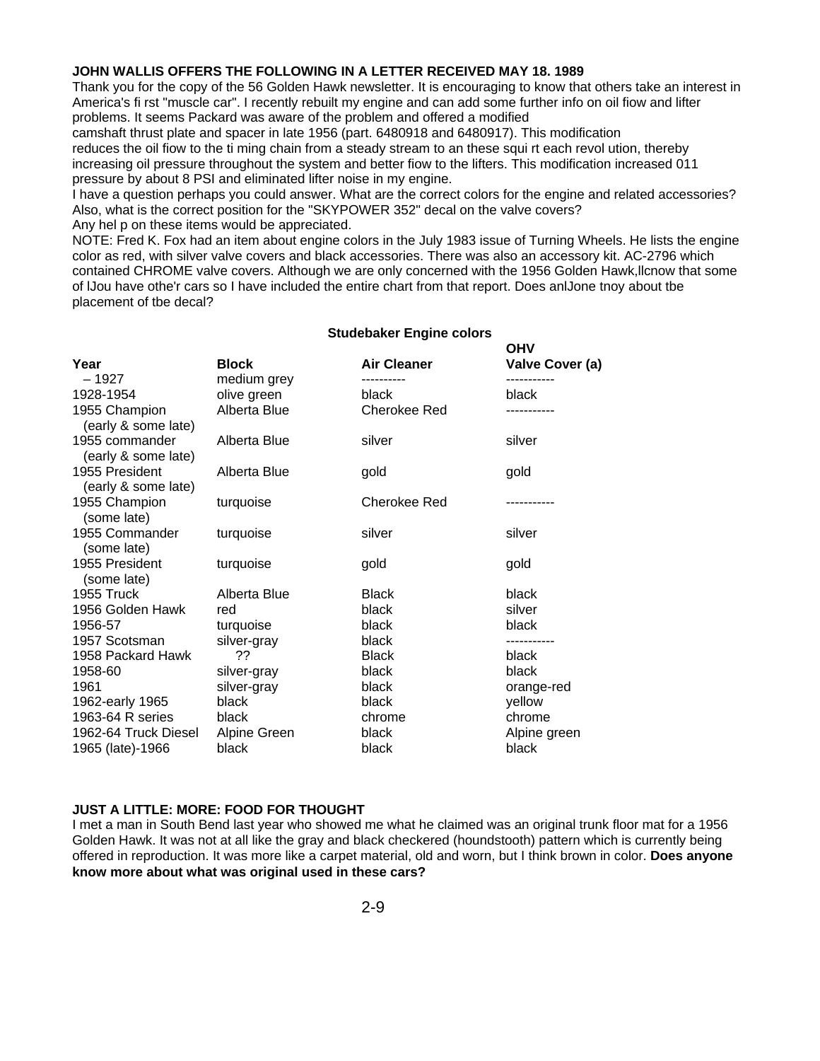### **JOHN WALLIS OFFERS THE FOLLOWING IN A LETTER RECEIVED MAY 18. 1989**

Thank you for the copy of the 56 Golden Hawk newsletter. It is encouraging to know that others take an interest in America's fi rst "muscle car". I recently rebuilt my engine and can add some further info on oil fiow and lifter problems. It seems Packard was aware of the problem and offered a modified

camshaft thrust plate and spacer in late 1956 (part. 6480918 and 6480917). This modification reduces the oil fiow to the ti ming chain from a steady stream to an these squi rt each revol ution, thereby increasing oil pressure throughout the system and better fiow to the lifters. This modification increased 011 pressure by about 8 PSI and eliminated lifter noise in my engine.

I have a question perhaps you could answer. What are the correct colors for the engine and related accessories? Also, what is the correct position for the "SKYPOWER 352" decal on the valve covers?

Any hel p on these items would be appreciated.

NOTE: Fred K. Fox had an item about engine colors in the July 1983 issue of Turning Wheels. He lists the engine color as red, with silver valve covers and black accessories. There was also an accessory kit. AC-2796 which contained CHROME valve covers. Although we are only concerned with the 1956 Golden Hawk,llcnow that some of lJou have othe'r cars so I have included the entire chart from that report. Does anlJone tnoy about tbe placement of tbe decal?

|                                       |                             |                    | <b>OHV</b>      |
|---------------------------------------|-----------------------------|--------------------|-----------------|
| Year                                  | <b>Block</b>                | <b>Air Cleaner</b> | Valve Cover (a) |
| $-1927$<br>1928-1954                  | medium grey                 | black              | black           |
| 1955 Champion                         | olive green<br>Alberta Blue | Cherokee Red       |                 |
| (early & some late)                   |                             |                    |                 |
| 1955 commander<br>(early & some late) | Alberta Blue                | silver             | silver          |
| 1955 President<br>(early & some late) | Alberta Blue                | gold               | gold            |
| 1955 Champion<br>(some late)          | turquoise                   | Cherokee Red       |                 |
| 1955 Commander<br>(some late)         | turquoise                   | silver             | silver          |
| 1955 President<br>(some late)         | turquoise                   | gold               | gold            |
| 1955 Truck                            | Alberta Blue                | <b>Black</b>       | black           |
| 1956 Golden Hawk                      | red                         | black              | silver          |
| 1956-57                               | turquoise                   | black              | black           |
| 1957 Scotsman                         | silver-gray                 | black              |                 |
| 1958 Packard Hawk                     | ??                          | <b>Black</b>       | black           |
| 1958-60                               | silver-gray                 | black              | black           |
| 1961                                  | silver-gray                 | black              | orange-red      |
| 1962-early 1965                       | black                       | black              | yellow          |
| 1963-64 R series                      | black                       | chrome             | chrome          |
| 1962-64 Truck Diesel                  | Alpine Green                | black              | Alpine green    |
| 1965 (late)-1966                      | black                       | black              | black           |

### **Studebaker Engine colors**

### **JUST A LITTLE: MORE: FOOD FOR THOUGHT**

I met a man in South Bend last year who showed me what he claimed was an original trunk floor mat for a 1956 Golden Hawk. It was not at all like the gray and black checkered (houndstooth) pattern which is currently being offered in reproduction. It was more like a carpet material, old and worn, but I think brown in color. **Does anyone know more about what was original used in these cars?**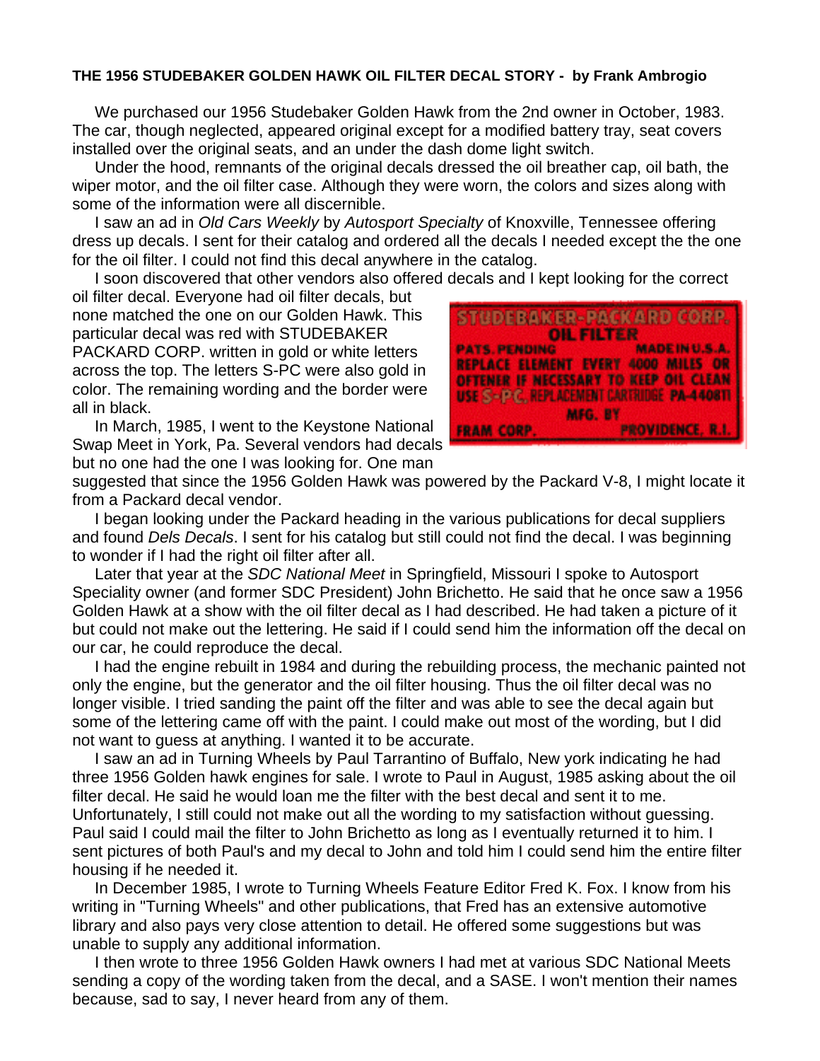## **THE 1956 STUDEBAKER GOLDEN HAWK OIL FILTER DECAL STORY - by Frank Ambrogio**

 We purchased our 1956 Studebaker Golden Hawk from the 2nd owner in October, 1983. The car, though neglected, appeared original except for a modified battery tray, seat covers installed over the original seats, and an under the dash dome light switch.

 Under the hood, remnants of the original decals dressed the oil breather cap, oil bath, the wiper motor, and the oil filter case. Although they were worn, the colors and sizes along with some of the information were all discernible.

 I saw an ad in *Old Cars Weekly* by *Autosport Specialty* of Knoxville, Tennessee offering dress up decals. I sent for their catalog and ordered all the decals I needed except the the one for the oil filter. I could not find this decal anywhere in the catalog.

I soon discovered that other vendors also offered decals and I kept looking for the correct

oil filter decal. Everyone had oil filter decals, but none matched the one on our Golden Hawk. This particular decal was red with STUDEBAKER PACKARD CORP. written in gold or white letters across the top. The letters S-PC were also gold in color. The remaining wording and the border were all in black.

 In March, 1985, I went to the Keystone National Swap Meet in York, Pa. Several vendors had decals but no one had the one I was looking for. One man



suggested that since the 1956 Golden Hawk was powered by the Packard V-8, I might locate it from a Packard decal vendor.

 I began looking under the Packard heading in the various publications for decal suppliers and found *Dels Decals*. I sent for his catalog but still could not find the decal. I was beginning to wonder if I had the right oil filter after all.

 Later that year at the *SDC National Meet* in Springfield, Missouri I spoke to Autosport Speciality owner (and former SDC President) John Brichetto. He said that he once saw a 1956 Golden Hawk at a show with the oil filter decal as I had described. He had taken a picture of it but could not make out the lettering. He said if I could send him the information off the decal on our car, he could reproduce the decal.

 I had the engine rebuilt in 1984 and during the rebuilding process, the mechanic painted not only the engine, but the generator and the oil filter housing. Thus the oil filter decal was no longer visible. I tried sanding the paint off the filter and was able to see the decal again but some of the lettering came off with the paint. I could make out most of the wording, but I did not want to guess at anything. I wanted it to be accurate.

 I saw an ad in Turning Wheels by Paul Tarrantino of Buffalo, New york indicating he had three 1956 Golden hawk engines for sale. I wrote to Paul in August, 1985 asking about the oil filter decal. He said he would loan me the filter with the best decal and sent it to me. Unfortunately, I still could not make out all the wording to my satisfaction without guessing. Paul said I could mail the filter to John Brichetto as long as I eventually returned it to him. I sent pictures of both Paul's and my decal to John and told him I could send him the entire filter housing if he needed it.

 In December 1985, I wrote to Turning Wheels Feature Editor Fred K. Fox. I know from his writing in "Turning Wheels" and other publications, that Fred has an extensive automotive library and also pays very close attention to detail. He offered some suggestions but was unable to supply any additional information.

 I then wrote to three 1956 Golden Hawk owners I had met at various SDC National Meets sending a copy of the wording taken from the decal, and a SASE. I won't mention their names because, sad to say, I never heard from any of them.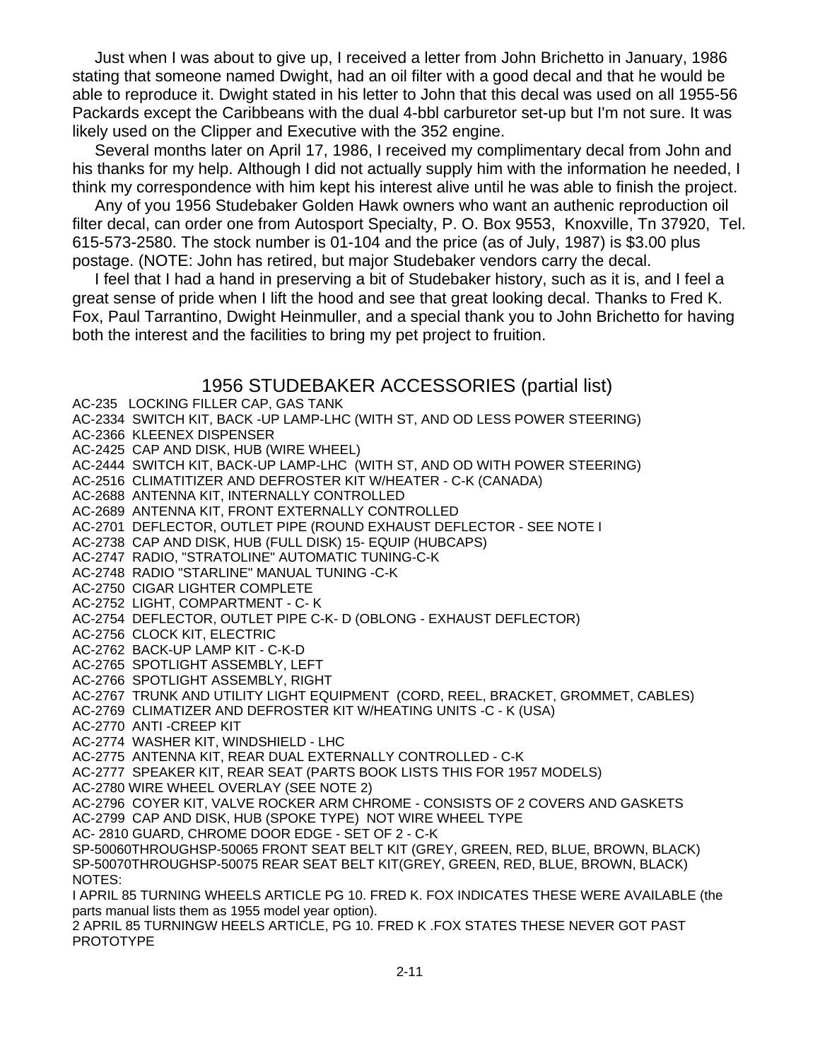Just when I was about to give up, I received a letter from John Brichetto in January, 1986 stating that someone named Dwight, had an oil filter with a good decal and that he would be able to reproduce it. Dwight stated in his letter to John that this decal was used on all 1955-56 Packards except the Caribbeans with the dual 4-bbl carburetor set-up but I'm not sure. It was likely used on the Clipper and Executive with the 352 engine.

 Several months later on April 17, 1986, I received my complimentary decal from John and his thanks for my help. Although I did not actually supply him with the information he needed, I think my correspondence with him kept his interest alive until he was able to finish the project.

 Any of you 1956 Studebaker Golden Hawk owners who want an authenic reproduction oil filter decal, can order one from Autosport Specialty, P. O. Box 9553, Knoxville, Tn 37920, Tel. 615-573-2580. The stock number is 01-104 and the price (as of July, 1987) is \$3.00 plus postage. (NOTE: John has retired, but major Studebaker vendors carry the decal.

 I feel that I had a hand in preserving a bit of Studebaker history, such as it is, and I feel a great sense of pride when I lift the hood and see that great looking decal. Thanks to Fred K. Fox, Paul Tarrantino, Dwight Heinmuller, and a special thank you to John Brichetto for having both the interest and the facilities to bring my pet project to fruition.

# 1956 STUDEBAKER ACCESSORIES (partial list)

AC-235 LOCKING FILLER CAP, GAS TANK

AC-2334 SWITCH KIT, BACK -UP LAMP-LHC (WITH ST, AND OD LESS POWER STEERING)

AC-2366 KLEENEX DISPENSER

AC-2425 CAP AND DISK, HUB (WIRE WHEEL)

AC-2444 SWITCH KIT, BACK-UP LAMP-LHC (WITH ST, AND OD WITH POWER STEERING)

AC-2516 CLIMATITIZER AND DEFROSTER KIT W/HEATER - C-K (CANADA)

AC-2688 ANTENNA KIT, INTERNALLY CONTROLLED

AC-2689 ANTENNA KIT, FRONT EXTERNALLY CONTROLLED

AC-2701 DEFLECTOR, OUTLET PIPE (ROUND EXHAUST DEFLECTOR - SEE NOTE I

AC-2738 CAP AND DISK, HUB (FULL DISK) 15- EQUIP (HUBCAPS)

AC-2747 RADIO, "STRATOLINE" AUTOMATIC TUNING-C-K

AC-2748 RADIO "STARLINE" MANUAL TUNING -C-K

AC-2750 CIGAR LIGHTER COMPLETE

AC-2752 LIGHT, COMPARTMENT - C- K

AC-2754 DEFLECTOR, OUTLET PIPE C-K- D (OBLONG - EXHAUST DEFLECTOR)

AC-2756 CLOCK KIT, ELECTRIC

AC-2762 BACK-UP LAMP KIT - C-K-D

AC-2765 SPOTLIGHT ASSEMBLY, LEFT

AC-2766 SPOTLIGHT ASSEMBLY, RIGHT

AC-2767 TRUNK AND UTILITY LIGHT EQUIPMENT (CORD, REEL, BRACKET, GROMMET, CABLES)

AC-2769 CLIMATIZER AND DEFROSTER KIT W/HEATING UNITS -C - K (USA)

AC-2770 ANTI -CREEP KIT

AC-2774 WASHER KIT, WINDSHIELD - LHC

AC-2775 ANTENNA KIT, REAR DUAL EXTERNALLY CONTROLLED - C-K

AC-2777 SPEAKER KIT, REAR SEAT (PARTS BOOK LISTS THIS FOR 1957 MODELS)

AC-2780 WIRE WHEEL OVERLAY (SEE NOTE 2)

AC-2796 COYER KIT, VALVE ROCKER ARM CHROME - CONSISTS OF 2 COVERS AND GASKETS AC-2799 CAP AND DISK, HUB (SPOKE TYPE) NOT WIRE WHEEL TYPE

AC- 2810 GUARD, CHROME DOOR EDGE - SET OF 2 - C-K

SP-50060THROUGHSP-50065 FRONT SEAT BELT KIT (GREY, GREEN, RED, BLUE, BROWN, BLACK) SP-50070THROUGHSP-50075 REAR SEAT BELT KIT(GREY, GREEN, RED, BLUE, BROWN, BLACK) NOTES:

I APRIL 85 TURNING WHEELS ARTICLE PG 10. FRED K. FOX INDICATES THESE WERE AVAILABLE (the parts manual lists them as 1955 model year option).

2 APRIL 85 TURNINGW HEELS ARTICLE, PG 10. FRED K .FOX STATES THESE NEVER GOT PAST PROTOTYPE